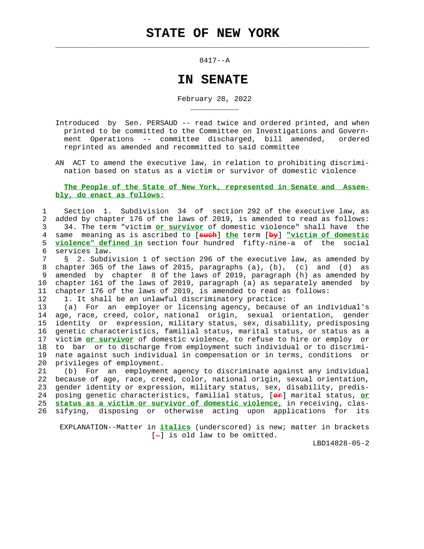$\mathcal{L}_\text{max} = \frac{1}{2} \sum_{i=1}^{n} \frac{1}{2} \sum_{i=1}^{n} \frac{1}{2} \sum_{i=1}^{n} \frac{1}{2} \sum_{i=1}^{n} \frac{1}{2} \sum_{i=1}^{n} \frac{1}{2} \sum_{i=1}^{n} \frac{1}{2} \sum_{i=1}^{n} \frac{1}{2} \sum_{i=1}^{n} \frac{1}{2} \sum_{i=1}^{n} \frac{1}{2} \sum_{i=1}^{n} \frac{1}{2} \sum_{i=1}^{n} \frac{1}{2} \sum_{i=1}^{n} \frac{1$ 

8417--A

## **IN SENATE**

February 28, 2022

 Introduced by Sen. PERSAUD -- read twice and ordered printed, and when printed to be committed to the Committee on Investigations and Govern ment Operations -- committee discharged, bill amended, ordered reprinted as amended and recommitted to said committee

 AN ACT to amend the executive law, in relation to prohibiting discrimi nation based on status as a victim or survivor of domestic violence

## **The People of the State of New York, represented in Senate and Assem bly, do enact as follows:**

 1 Section 1. Subdivision 34 of section 292 of the executive law, as 2 added by chapter 176 of the laws of 2019, is amended to read as follows: 3 34. The term "victim **or survivor** of domestic violence" shall have the 4 same meaning as is ascribed to [**such**] **the** term [**by**] **"victim of domestic** 5 **violence" defined in** section four hundred fifty-nine-a of the social 6 services law.

 7 § 2. Subdivision 1 of section 296 of the executive law, as amended by 8 chapter 365 of the laws of 2015, paragraphs (a), (b), (c) and (d) as 9 amended by chapter 8 of the laws of 2019, paragraph (h) as amended by 10 chapter 161 of the laws of 2019, paragraph (a) as separately amended by 11 chapter 176 of the laws of 2019, is amended to read as follows:

12 1. It shall be an unlawful discriminatory practice:

\_\_\_\_\_\_\_\_\_\_\_

 13 (a) For an employer or licensing agency, because of an individual's 14 age, race, creed, color, national origin, sexual orientation, gender 15 identity or expression, military status, sex, disability, predisposing 16 genetic characteristics, familial status, marital status, or status as a 17 victim **or survivor** of domestic violence, to refuse to hire or employ or 18 to bar or to discharge from employment such individual or to discrimi- 19 nate against such individual in compensation or in terms, conditions or 20 privileges of employment.

 21 (b) For an employment agency to discriminate against any individual 22 because of age, race, creed, color, national origin, sexual orientation, 23 gender identity or expression, military status, sex, disability, predis- 24 posing genetic characteristics, familial status, [**or**] marital status, **or** 25 **status as a victim or survivor of domestic violence,** in receiving, clas- 26 sifying, disposing or otherwise acting upon applications for its

 EXPLANATION--Matter in **italics** (underscored) is new; matter in brackets  $[-]$  is old law to be omitted.

LBD14828-05-2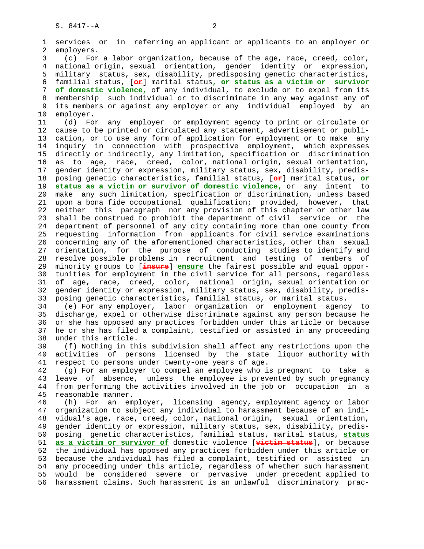1 services or in referring an applicant or applicants to an employer or 2 employers. 3 (c) For a labor organization, because of the age, race, creed, color, 4 national origin, sexual orientation, gender identity or expression, 5 military status, sex, disability, predisposing genetic characteristics, 6 familial status, [**or**] marital status**, or status as a victim or survivor** 7 **of domestic violence,** of any individual, to exclude or to expel from its 8 membership such individual or to discriminate in any way against any of 9 its members or against any employer or any individual employed by an<br>10 employer. employer. 11 (d) For any employer or employment agency to print or circulate or 12 cause to be printed or circulated any statement, advertisement or publi- 13 cation, or to use any form of application for employment or to make any 14 inquiry in connection with prospective employment, which expresses 15 directly or indirectly, any limitation, specification or discrimination 16 as to age, race, creed, color, national origin, sexual orientation, 17 gender identity or expression, military status, sex, disability, predis- 18 posing genetic characteristics, familial status, [**or**] marital status, **or** 19 **status as a victim or survivor of domestic violence,** or any intent to 20 make any such limitation, specification or discrimination, unless based 21 upon a bona fide occupational qualification; provided, however, that 22 neither this paragraph nor any provision of this chapter or other law 23 shall be construed to prohibit the department of civil service or the 24 department of personnel of any city containing more than one county from 25 requesting information from applicants for civil service examinations 26 concerning any of the aforementioned characteristics, other than sexual 27 orientation, for the purpose of conducting studies to identify and 28 resolve possible problems in recruitment and testing of members of 29 minority groups to [**insure**] **ensure** the fairest possible and equal oppor- 30 tunities for employment in the civil service for all persons, regardless 31 of age, race, creed, color, national origin, sexual orientation or 32 gender identity or expression, military status, sex, disability, predis- 33 posing genetic characteristics, familial status, or marital status. 34 (e) For any employer, labor organization or employment agency to 35 discharge, expel or otherwise discriminate against any person because he 36 or she has opposed any practices forbidden under this article or because 37 he or she has filed a complaint, testified or assisted in any proceeding 38 under this article. 39 (f) Nothing in this subdivision shall affect any restrictions upon the 40 activities of persons licensed by the state liquor authority with 41 respect to persons under twenty-one years of age. 42 (g) For an employer to compel an employee who is pregnant to take a 43 leave of absence, unless the employee is prevented by such pregnancy 44 from performing the activities involved in the job or occupation in a 45 reasonable manner. 46 (h) For an employer, licensing agency, employment agency or labor 47 organization to subject any individual to harassment because of an indi- 48 vidual's age, race, creed, color, national origin, sexual orientation, 49 gender identity or expression, military status, sex, disability, predis- 50 posing genetic characteristics, familial status, marital status, **status** 51 **as a victim or survivor of** domestic violence [**victim status**], or because 52 the individual has opposed any practices forbidden under this article or 53 because the individual has filed a complaint, testified or assisted in 54 any proceeding under this article, regardless of whether such harassment 55 would be considered severe or pervasive under precedent applied to 56 harassment claims. Such harassment is an unlawful discriminatory prac-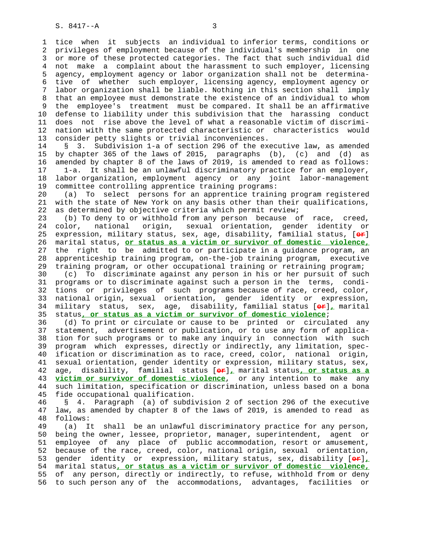1 tice when it subjects an individual to inferior terms, conditions or 2 privileges of employment because of the individual's membership in one 3 or more of these protected categories. The fact that such individual did 4 not make a complaint about the harassment to such employer, licensing 5 agency, employment agency or labor organization shall not be determina- 6 tive of whether such employer, licensing agency, employment agency or 7 labor organization shall be liable. Nothing in this section shall imply 8 that an employee must demonstrate the existence of an individual to whom 9 the employee's treatment must be compared. It shall be an affirmative 10 defense to liability under this subdivision that the harassing conduct 11 does not rise above the level of what a reasonable victim of discrimi- 12 nation with the same protected characteristic or characteristics would 13 consider petty slights or trivial inconveniences.

 14 § 3. Subdivision 1-a of section 296 of the executive law, as amended 15 by chapter 365 of the laws of 2015, paragraphs (b), (c) and (d) as 16 amended by chapter 8 of the laws of 2019, is amended to read as follows: 17 1-a. It shall be an unlawful discriminatory practice for an employer, 18 labor organization, employment agency or any joint labor-management 19 committee controlling apprentice training programs:

 20 (a) To select persons for an apprentice training program registered 21 with the state of New York on any basis other than their qualifications, 22 as determined by objective criteria which permit review;

 23 (b) To deny to or withhold from any person because of race, creed, 24 color, national origin, sexual orientation, gender identity or 25 expression, military status, sex, age, disability, familial status, [**or**] 26 marital status, **or status as a victim or survivor of domestic violence,** 27 the right to be admitted to or participate in a guidance program, an 28 apprenticeship training program, on-the-job training program, executive 29 training program, or other occupational training or retraining program; 30 (c) To discriminate against any person in his or her pursuit of such 31 programs or to discriminate against such a person in the terms, condi- 32 tions or privileges of such programs because of race, creed, color, 33 national origin, sexual orientation, gender identity or expression, 34 military status, sex, age, disability, familial status [**or**]**,** marital 35 status**, or status as a victim or survivor of domestic violence**;

 36 (d) To print or circulate or cause to be printed or circulated any 37 statement, advertisement or publication, or to use any form of applica- 38 tion for such programs or to make any inquiry in connection with such 39 program which expresses, directly or indirectly, any limitation, spec- 40 ification or discrimination as to race, creed, color, national origin, 41 sexual orientation, gender identity or expression, military status, sex, 42 age, disability, familial status [**or**]**,** marital status**, or status as a** 43 **victim or survivor of domestic violence**, or any intention to make any 44 such limitation, specification or discrimination, unless based on a bona 45 fide occupational qualification.

 46 § 4. Paragraph (a) of subdivision 2 of section 296 of the executive 47 law, as amended by chapter 8 of the laws of 2019, is amended to read as 48 follows:

 49 (a) It shall be an unlawful discriminatory practice for any person, 50 being the owner, lessee, proprietor, manager, superintendent, agent or 51 employee of any place of public accommodation, resort or amusement, 52 because of the race, creed, color, national origin, sexual orientation, 53 gender identity or expression, military status, sex, disability [**or**]**,** 54 marital status**, or status as a victim or survivor of domestic violence,** 55 of any person, directly or indirectly, to refuse, withhold from or deny 56 to such person any of the accommodations, advantages, facilities or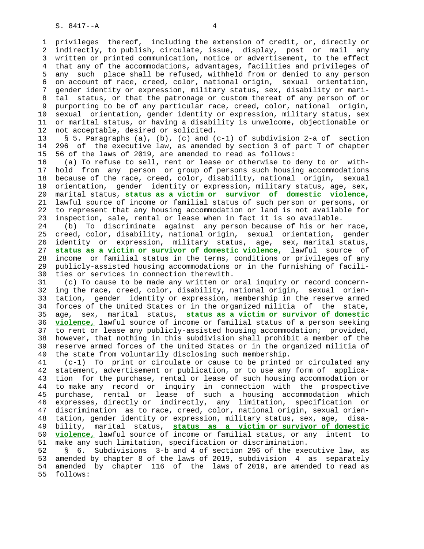1 privileges thereof, including the extension of credit, or, directly or 2 indirectly, to publish, circulate, issue, display, post or mail any 3 written or printed communication, notice or advertisement, to the effect 4 that any of the accommodations, advantages, facilities and privileges of 5 any such place shall be refused, withheld from or denied to any person 6 on account of race, creed, color, national origin, sexual orientation, 7 gender identity or expression, military status, sex, disability or mari- 8 tal status, or that the patronage or custom thereat of any person of or 9 purporting to be of any particular race, creed, color, national origin, 10 sexual orientation, gender identity or expression, military status, sex 11 or marital status, or having a disability is unwelcome, objectionable or 12 not acceptable, desired or solicited.

 13 § 5. Paragraphs (a), (b), (c) and (c-1) of subdivision 2-a of section 14 296 of the executive law, as amended by section 3 of part T of chapter 15 56 of the laws of 2019, are amended to read as follows:

 16 (a) To refuse to sell, rent or lease or otherwise to deny to or with- 17 hold from any person or group of persons such housing accommodations 18 because of the race, creed, color, disability, national origin, sexual 19 orientation, gender identity or expression, military status, age, sex, 20 marital status, **status as a victim or survivor of domestic violence,** 21 lawful source of income or familial status of such person or persons, or 22 to represent that any housing accommodation or land is not available for 23 inspection, sale, rental or lease when in fact it is so available.

 24 (b) To discriminate against any person because of his or her race, 25 creed, color, disability, national origin, sexual orientation, gender 26 identity or expression, military status, age, sex, marital status, 27 **status as a victim or survivor of domestic violence,** lawful source of 28 income or familial status in the terms, conditions or privileges of any 29 publicly-assisted housing accommodations or in the furnishing of facili- 30 ties or services in connection therewith.

 31 (c) To cause to be made any written or oral inquiry or record concern- 32 ing the race, creed, color, disability, national origin, sexual orien- 33 tation, gender identity or expression, membership in the reserve armed 34 forces of the United States or in the organized militia of the state, 35 age, sex, marital status, **status as a victim or survivor of domestic** 36 **violence,** lawful source of income or familial status of a person seeking 37 to rent or lease any publicly-assisted housing accommodation; provided, 38 however, that nothing in this subdivision shall prohibit a member of the 39 reserve armed forces of the United States or in the organized militia of 40 the state from voluntarily disclosing such membership.

 41 (c-1) To print or circulate or cause to be printed or circulated any 42 statement, advertisement or publication, or to use any form of applica- 43 tion for the purchase, rental or lease of such housing accommodation or 44 to make any record or inquiry in connection with the prospective 45 purchase, rental or lease of such a housing accommodation which 46 expresses, directly or indirectly, any limitation, specification or 47 discrimination as to race, creed, color, national origin, sexual orien- 48 tation, gender identity or expression, military status, sex, age, disa- 49 bility, marital status, **status as a victim or survivor of domestic** 50 **violence,** lawful source of income or familial status, or any intent to 51 make any such limitation, specification or discrimination.

 52 § 6. Subdivisions 3-b and 4 of section 296 of the executive law, as 53 amended by chapter 8 of the laws of 2019, subdivision 4 as separately 54 amended by chapter 116 of the laws of 2019, are amended to read as 55 follows: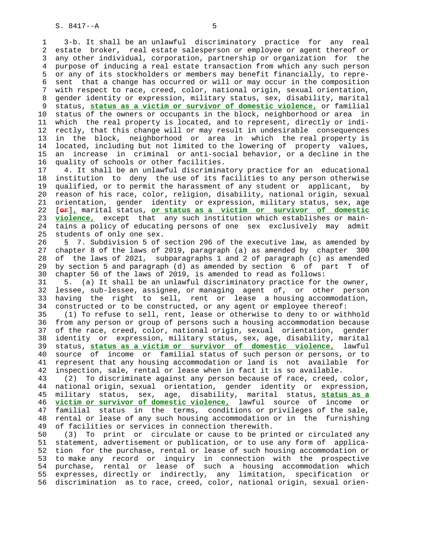1 3-b. It shall be an unlawful discriminatory practice for any real 2 estate broker, real estate salesperson or employee or agent thereof or 3 any other individual, corporation, partnership or organization for the 4 purpose of inducing a real estate transaction from which any such person 5 or any of its stockholders or members may benefit financially, to repre- 6 sent that a change has occurred or will or may occur in the composition 7 with respect to race, creed, color, national origin, sexual orientation, 8 gender identity or expression, military status, sex, disability, marital 9 status, **status as a victim or survivor of domestic violence,** or familial status of the owners or occupants in the block, neighborhood or area in 11 which the real property is located, and to represent, directly or indi- 12 rectly, that this change will or may result in undesirable consequences 13 in the block, neighborhood or area in which the real property is 14 located, including but not limited to the lowering of property values, 15 an increase in criminal or anti-social behavior, or a decline in the 16 quality of schools or other facilities.

 17 4. It shall be an unlawful discriminatory practice for an educational 18 institution to deny the use of its facilities to any person otherwise 19 qualified, or to permit the harassment of any student or applicant, by 20 reason of his race, color, religion, disability, national origin, sexual 21 orientation, gender identity or expression, military status, sex, age 22 [**or**]**,** marital status, **or status as a victim or survivor of domestic** 23 **violence,** except that any such institution which establishes or main- 24 tains a policy of educating persons of one sex exclusively may admit 25 students of only one sex.

 26 § 7. Subdivision 5 of section 296 of the executive law, as amended by 27 chapter 8 of the laws of 2019, paragraph (a) as amended by chapter 300 28 of the laws of 2021, subparagraphs 1 and 2 of paragraph (c) as amended 29 by section 5 and paragraph (d) as amended by section 6 of part T of 30 chapter 56 of the laws of 2019, is amended to read as follows:

 31 5. (a) It shall be an unlawful discriminatory practice for the owner, 32 lessee, sub-lessee, assignee, or managing agent of, or other person 33 having the right to sell, rent or lease a housing accommodation, 34 constructed or to be constructed, or any agent or employee thereof:

 35 (1) To refuse to sell, rent, lease or otherwise to deny to or withhold 36 from any person or group of persons such a housing accommodation because 37 of the race, creed, color, national origin, sexual orientation, gender 38 identity or expression, military status, sex, age, disability, marital 39 status, **status as a victim or survivor of domestic violence,** lawful 40 source of income or familial status of such person or persons, or to 41 represent that any housing accommodation or land is not available for 42 inspection, sale, rental or lease when in fact it is so available.

 43 (2) To discriminate against any person because of race, creed, color, 44 national origin, sexual orientation, gender identity or expression, 45 military status, sex, age, disability, marital status, **status as a** 46 **victim or survivor of domestic violence,** lawful source of income or 47 familial status in the terms, conditions or privileges of the sale, 48 rental or lease of any such housing accommodation or in the furnishing 49 of facilities or services in connection therewith.

 50 (3) To print or circulate or cause to be printed or circulated any 51 statement, advertisement or publication, or to use any form of applica- 52 tion for the purchase, rental or lease of such housing accommodation or 53 to make any record or inquiry in connection with the prospective 54 purchase, rental or lease of such a housing accommodation which 55 expresses, directly or indirectly, any limitation, specification or 56 discrimination as to race, creed, color, national origin, sexual orien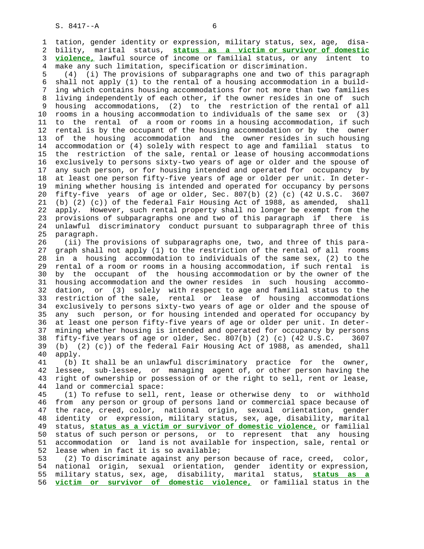1 tation, gender identity or expression, military status, sex, age, disa- 2 bility, marital status, **status as a victim or survivor of domestic** 3 **violence,** lawful source of income or familial status, or any intent to 4 make any such limitation, specification or discrimination.

 5 (4) (i) The provisions of subparagraphs one and two of this paragraph 6 shall not apply (1) to the rental of a housing accommodation in a build- 7 ing which contains housing accommodations for not more than two families 8 living independently of each other, if the owner resides in one of such 9 housing accommodations, (2) to the restriction of the rental of all 10 rooms in a housing accommodation to individuals of the same sex or (3) 10 rooms in a housing accommodation to individuals of the same sex or (3) 11 to the rental of a room or rooms in a housing accommodation, if such 12 rental is by the occupant of the housing accommodation or by the owner 13 of the housing accommodation and the owner resides in such housing 14 accommodation or (4) solely with respect to age and familial status to 15 the restriction of the sale, rental or lease of housing accommodations 16 exclusively to persons sixty-two years of age or older and the spouse of 17 any such person, or for housing intended and operated for occupancy by 18 at least one person fifty-five years of age or older per unit. In deter- 19 mining whether housing is intended and operated for occupancy by persons 20 fifty-five years of age or older, Sec. 807(b) (2) (c) (42 U.S.C. 3607 21 (b) (2) (c)) of the federal Fair Housing Act of 1988, as amended, shall 22 apply. However, such rental property shall no longer be exempt from the 23 provisions of subparagraphs one and two of this paragraph if there is 24 unlawful discriminatory conduct pursuant to subparagraph three of this 25 paragraph.

 26 (ii) The provisions of subparagraphs one, two, and three of this para- 27 graph shall not apply (1) to the restriction of the rental of all rooms 28 in a housing accommodation to individuals of the same sex, (2) to the 29 rental of a room or rooms in a housing accommodation, if such rental is 30 by the occupant of the housing accommodation or by the owner of the 31 housing accommodation and the owner resides in such housing accommo- 32 dation, or (3) solely with respect to age and familial status to the 33 restriction of the sale, rental or lease of housing accommodations 34 exclusively to persons sixty-two years of age or older and the spouse of 35 any such person, or for housing intended and operated for occupancy by 36 at least one person fifty-five years of age or older per unit. In deter- 37 mining whether housing is intended and operated for occupancy by persons 38 fifty-five years of age or older, Sec. 807(b) (2) (c) (42 U.S.C. 3607 39 (b) (2) (c)) of the federal Fair Housing Act of 1988, as amended, shall 40 apply.

 41 (b) It shall be an unlawful discriminatory practice for the owner, 42 lessee, sub-lessee, or managing agent of, or other person having the 43 right of ownership or possession of or the right to sell, rent or lease, 44 land or commercial space:

 45 (1) To refuse to sell, rent, lease or otherwise deny to or withhold 46 from any person or group of persons land or commercial space because of 47 the race, creed, color, national origin, sexual orientation, gender 48 identity or expression, military status, sex, age, disability, marital 49 status, **status as a victim or survivor of domestic violence,** or familial 50 status of such person or persons, or to represent that any housing 51 accommodation or land is not available for inspection, sale, rental or 52 lease when in fact it is so available;

 53 (2) To discriminate against any person because of race, creed, color, 54 national origin, sexual orientation, gender identity or expression, 55 military status, sex, age, disability, marital status, **status as a** 56 **victim or survivor of domestic violence,** or familial status in the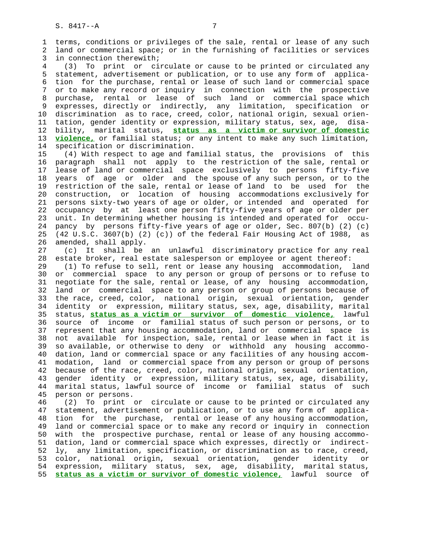1 terms, conditions or privileges of the sale, rental or lease of any such 2 land or commercial space; or in the furnishing of facilities or services 3 in connection therewith; 4 (3) To print or circulate or cause to be printed or circulated any 5 statement, advertisement or publication, or to use any form of applica- 6 tion for the purchase, rental or lease of such land or commercial space 7 or to make any record or inquiry in connection with the prospective 8 purchase, rental or lease of such land or commercial space which 9 expresses, directly or indirectly, any limitation, specification or 10 discrimination as to race, creed, color, national origin, sexual orien- 11 tation, gender identity or expression, military status, sex, age, disa- 12 bility, marital status, **status as a victim or survivor of domestic** 13 **violence,** or familial status; or any intent to make any such limitation, 14 specification or discrimination. 15 (4) With respect to age and familial status, the provisions of this 16 paragraph shall not apply to the restriction of the sale, rental or 17 lease of land or commercial space exclusively to persons fifty-five 18 years of age or older and the spouse of any such person, or to the 19 restriction of the sale, rental or lease of land to be used for the 20 construction, or location of housing accommodations exclusively for 21 persons sixty-two years of age or older, or intended and operated for 22 occupancy by at least one person fifty-five years of age or older per 23 unit. In determining whether housing is intended and operated for occu- 24 pancy by persons fifty-five years of age or older, Sec. 807(b) (2) (c) 25 (42 U.S.C. 3607(b) (2) (c)) of the federal Fair Housing Act of 1988, as 26 amended, shall apply. 27 (c) It shall be an unlawful discriminatory practice for any real 28 estate broker, real estate salesperson or employee or agent thereof: 29 (1) To refuse to sell, rent or lease any housing accommodation, land 30 or commercial space to any person or group of persons or to refuse to 31 negotiate for the sale, rental or lease, of any housing accommodation, 32 land or commercial space to any person or group of persons because of 33 the race, creed, color, national origin, sexual orientation, gender 34 identity or expression, military status, sex, age, disability, marital 35 status, **status as a victim or survivor of domestic violence,** lawful 36 source of income or familial status of such person or persons, or to 37 represent that any housing accommodation, land or commercial space is 38 not available for inspection, sale, rental or lease when in fact it is 39 so available, or otherwise to deny or withhold any housing accommo- 40 dation, land or commercial space or any facilities of any housing accom- 41 modation, land or commercial space from any person or group of persons 42 because of the race, creed, color, national origin, sexual orientation, 43 gender identity or expression, military status, sex, age, disability, 44 marital status, lawful source of income or familial status of such 45 person or persons. 46 (2) To print or circulate or cause to be printed or circulated any 47 statement, advertisement or publication, or to use any form of applica- 48 tion for the purchase, rental or lease of any housing accommodation, 49 land or commercial space or to make any record or inquiry in connection 50 with the prospective purchase, rental or lease of any housing accommo- 51 dation, land or commercial space which expresses, directly or indirect- 52 ly, any limitation, specification, or discrimination as to race, creed, 53 color, national origin, sexual orientation, gender identity or

 54 expression, military status, sex, age, disability, marital status, 55 **status as a victim or survivor of domestic violence,** lawful source of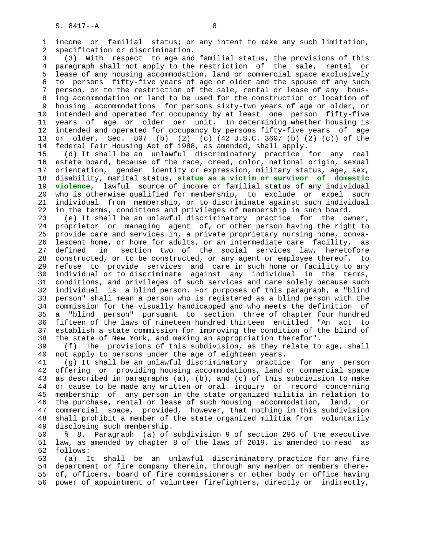1 income or familial status; or any intent to make any such limitation, 2 specification or discrimination. 3 (3) With respect to age and familial status, the provisions of this 4 paragraph shall not apply to the restriction of the sale, rental or 5 lease of any housing accommodation, land or commercial space exclusively 6 to persons fifty-five years of age or older and the spouse of any such 7 person, or to the restriction of the sale, rental or lease of any hous- 8 ing accommodation or land to be used for the construction or location of 9 housing accommodations for persons sixty-two years of age or older, or 10 intended and operated for occupancy by at least one person fifty-five 11 years of age or older per unit. In determining whether housing is 12 intended and operated for occupancy by persons fifty-five years of age 13 or older, Sec. 807 (b) (2) (c) (42 U.S.C. 3607 (b) (2) (c)) of the 14 federal Fair Housing Act of 1988, as amended, shall apply. 15 (d) It shall be an unlawful discriminatory practice for any real 16 estate board, because of the race, creed, color, national origin, sexual 17 orientation, gender identity or expression, military status, age, sex, 18 disability, marital status, **status as a victim or survivor of domestic** 19 **violence,** lawful source of income or familial status of any individual 20 who is otherwise qualified for membership, to exclude or expel such 21 individual from membership, or to discriminate against such individual 22 in the terms, conditions and privileges of membership in such board. 23 (e) It shall be an unlawful discriminatory practice for the owner, 24 proprietor or managing agent of, or other person having the right to 25 provide care and services in, a private proprietary nursing home, conva- 26 lescent home, or home for adults, or an intermediate care facility, as 27 defined in section two of the social services law, heretofore 28 constructed, or to be constructed, or any agent or employee thereof, to 29 refuse to provide services and care in such home or facility to any 30 individual or to discriminate against any individual in the terms, 31 conditions, and privileges of such services and care solely because such 32 individual is a blind person. For purposes of this paragraph, a "blind 33 person" shall mean a person who is registered as a blind person with the 34 commission for the visually handicapped and who meets the definition of 35 a "blind person" pursuant to section three of chapter four hundred 36 fifteen of the laws of nineteen hundred thirteen entitled "An act to 37 establish a state commission for improving the condition of the blind of

 38 the state of New York, and making an appropriation therefor". 39 (f) The provisions of this subdivision, as they relate to age, shall 40 not apply to persons under the age of eighteen years.

 41 (g) It shall be an unlawful discriminatory practice for any person 42 offering or providing housing accommodations, land or commercial space 43 as described in paragraphs (a), (b), and (c) of this subdivision to make 44 or cause to be made any written or oral inquiry or record concerning 45 membership of any person in the state organized militia in relation to 46 the purchase, rental or lease of such housing accommodation, land, or 47 commercial space, provided, however, that nothing in this subdivision 48 shall prohibit a member of the state organized militia from voluntarily 49 disclosing such membership.

 50 § 8. Paragraph (a) of subdivision 9 of section 296 of the executive 51 law, as amended by chapter 8 of the laws of 2019, is amended to read as 52 follows:

 53 (a) It shall be an unlawful discriminatory practice for any fire 54 department or fire company therein, through any member or members there- 55 of, officers, board of fire commissioners or other body or office having 56 power of appointment of volunteer firefighters, directly or indirectly,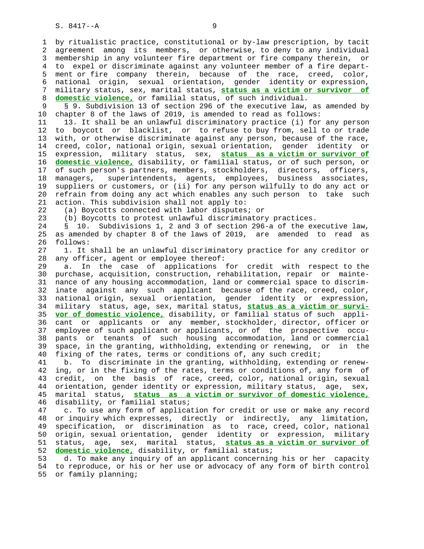S. 8417--A 9

 1 by ritualistic practice, constitutional or by-law prescription, by tacit 2 agreement among its members, or otherwise, to deny to any individual 3 membership in any volunteer fire department or fire company therein, or 4 to expel or discriminate against any volunteer member of a fire depart- 5 ment or fire company therein, because of the race, creed, color, 6 national origin, sexual orientation, gender identity or expression, 7 military status, sex, marital status, **status as a victim or survivor of** 8 **domestic violence,** or familial status, of such individual.

9 § 9. Subdivision 13 of section 296 of the executive law, as amended by<br>10 chapter 8 of the laws of 2019, is amended to read as follows: chapter 8 of the laws of 2019, is amended to read as follows:

 11 13. It shall be an unlawful discriminatory practice (i) for any person 12 to boycott or blacklist, or to refuse to buy from, sell to or trade 13 with, or otherwise discriminate against any person, because of the race, 14 creed, color, national origin, sexual orientation, gender identity or 15 expression, military status, sex, **status as a victim or survivor of** 16 **domestic violence,** disability, or familial status, or of such person, or 17 of such person's partners, members, stockholders, directors, officers, 18 managers, superintendents, agents, employees, business associates, 19 suppliers or customers, or (ii) for any person wilfully to do any act or 20 refrain from doing any act which enables any such person to take such 21 action. This subdivision shall not apply to:

22 (a) Boycotts connected with labor disputes; or

23 (b) Boycotts to protest unlawful discriminatory practices.

 24 § 10. Subdivisions 1, 2 and 3 of section 296-a of the executive law, 25 as amended by chapter 8 of the laws of 2019, are amended to read as 26 follows:

 27 1. It shall be an unlawful discriminatory practice for any creditor or 28 any officer, agent or employee thereof:

 29 a. In the case of applications for credit with respect to the 30 purchase, acquisition, construction, rehabilitation, repair or mainte- 31 nance of any housing accommodation, land or commercial space to discrim- 32 inate against any such applicant because of the race, creed, color, 33 national origin, sexual orientation, gender identity or expression, 34 military status, age, sex, marital status, **status as a victim or survi-** 35 **vor of domestic violence,** disability, or familial status of such appli- 36 cant or applicants or any member, stockholder, director, officer or 37 employee of such applicant or applicants, or of the prospective occu- 38 pants or tenants of such housing accommodation, land or commercial 39 space, in the granting, withholding, extending or renewing, or in the 40 fixing of the rates, terms or conditions of, any such credit;

 41 b. To discriminate in the granting, withholding, extending or renew- 42 ing, or in the fixing of the rates, terms or conditions of, any form of 43 credit, on the basis of race, creed, color, national origin, sexual 44 orientation, gender identity or expression, military status, age, sex, 45 marital status, **status as a victim or survivor of domestic violence,** 46 disability, or familial status;

 47 c. To use any form of application for credit or use or make any record 48 or inquiry which expresses, directly or indirectly, any limitation, 49 specification, or discrimination as to race, creed, color, national 50 origin, sexual orientation, gender identity or expression, military 51 status, age, sex, marital status, **status as a victim or survivor of** 52 **domestic violence,** disability, or familial status;

 53 d. To make any inquiry of an applicant concerning his or her capacity 54 to reproduce, or his or her use or advocacy of any form of birth control 55 or family planning;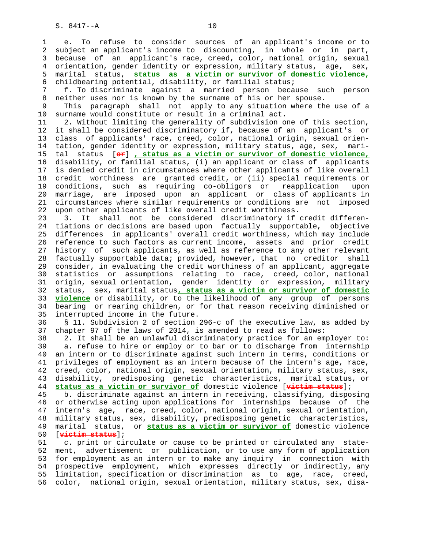1 e. To refuse to consider sources of an applicant's income or to 2 subject an applicant's income to discounting, in whole or in part, 3 because of an applicant's race, creed, color, national origin, sexual 4 orientation, gender identity or expression, military status, age, sex, 5 marital status, **status as a victim or survivor of domestic violence,** 6 childbearing potential, disability, or familial status;

 7 f. To discriminate against a married person because such person 8 neither uses nor is known by the surname of his or her spouse.

 9 This paragraph shall not apply to any situation where the use of a 10 surname would constitute or result in a criminal act.

 11 2. Without limiting the generality of subdivision one of this section, 12 it shall be considered discriminatory if, because of an applicant's or 13 class of applicants' race, creed, color, national origin, sexual orien- 14 tation, gender identity or expression, military status, age, sex, mari- 15 tal status [**or**] **, status as a victim or survivor of domestic violence,** 16 disability, or familial status, (i) an applicant or class of applicants 17 is denied credit in circumstances where other applicants of like overall 18 credit worthiness are granted credit, or (ii) special requirements or 19 conditions, such as requiring co-obligors or reapplication upon 20 marriage, are imposed upon an applicant or class of applicants in 21 circumstances where similar requirements or conditions are not imposed 22 upon other applicants of like overall credit worthiness.

 23 3. It shall not be considered discriminatory if credit differen- 24 tiations or decisions are based upon factually supportable, objective 25 differences in applicants' overall credit worthiness, which may include 26 reference to such factors as current income, assets and prior credit 27 history of such applicants, as well as reference to any other relevant 28 factually supportable data; provided, however, that no creditor shall 29 consider, in evaluating the credit worthiness of an applicant, aggregate 30 statistics or assumptions relating to race, creed, color, national 31 origin, sexual orientation, gender identity or expression, military 32 status, sex, marital status**, status as a victim or survivor of domestic** 33 **violence** or disability, or to the likelihood of any group of persons 34 bearing or rearing children, or for that reason receiving diminished or 35 interrupted income in the future.

 36 § 11. Subdivision 2 of section 296-c of the executive law, as added by 37 chapter 97 of the laws of 2014, is amended to read as follows:

 38 2. It shall be an unlawful discriminatory practice for an employer to: 39 a. refuse to hire or employ or to bar or to discharge from internship 40 an intern or to discriminate against such intern in terms, conditions or 41 privileges of employment as an intern because of the intern's age, race, 42 creed, color, national origin, sexual orientation, military status, sex, 43 disability, predisposing genetic characteristics, marital status, or 44 **status as a victim or survivor of** domestic violence [**victim status**];

 45 b. discriminate against an intern in receiving, classifying, disposing 46 or otherwise acting upon applications for internships because of the 47 intern's age, race, creed, color, national origin, sexual orientation, 48 military status, sex, disability, predisposing genetic characteristics, 49 marital status, or **status as a victim or survivor of** domestic violence 50 [**victim status**];

 51 c. print or circulate or cause to be printed or circulated any state- 52 ment, advertisement or publication, or to use any form of application 53 for employment as an intern or to make any inquiry in connection with 54 prospective employment, which expresses directly or indirectly, any 55 limitation, specification or discrimination as to age, race, creed, 56 color, national origin, sexual orientation, military status, sex, disa